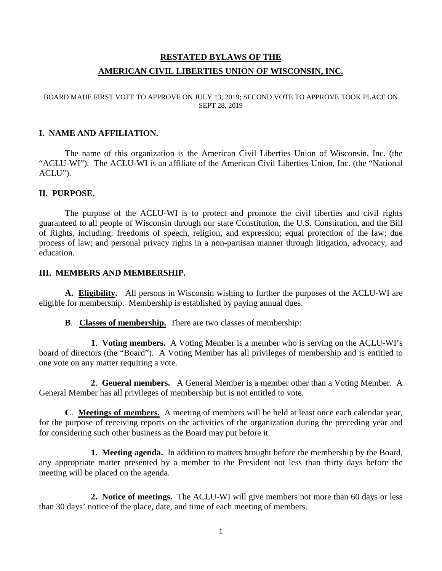# **RESTATED BYLAWS OF THE AMERICAN CIVIL LIBERTIES UNION OF WISCONSIN, INC.**

#### BOARD MADE FIRST VOTE TO APPROVE ON JULY 13, 2019; SECOND VOTE TO APPROVE TOOK PLACE ON SEPT 28, 2019

#### **I. NAME AND AFFILIATION.**

The name of this organization is the American Civil Liberties Union of Wisconsin, Inc. (the "ACLU-WI"). The ACLU-WI is an affiliate of the American Civil Liberties Union, Inc. (the "National ACLU").

#### **II. PURPOSE.**

The purpose of the ACLU-WI is to protect and promote the civil liberties and civil rights guaranteed to all people of Wisconsin through our state Constitution, the U.S. Constitution, and the Bill of Rights, including: freedoms of speech, religion, and expression; equal protection of the law; due process of law; and personal privacy rights in a non-partisan manner through litigation, advocacy, and education.

#### **III. MEMBERS AND MEMBERSHIP.**

**A. Eligibility.** All persons in Wisconsin wishing to further the purposes of the ACLU-WI are eligible for membership. Membership is established by paying annual dues.

**B**. **Classes of membership.** There are two classes of membership:

**1**. **Voting members.** A Voting Member is a member who is serving on the ACLU-WI's board of directors (the "Board"). A Voting Member has all privileges of membership and is entitled to one vote on any matter requiring a vote.

**2**. **General members.** A General Member is a member other than a Voting Member. A General Member has all privileges of membership but is not entitled to vote.

**C**. **Meetings of members.**A meeting of members will be held at least once each calendar year, for the purpose of receiving reports on the activities of the organization during the preceding year and for considering such other business as the Board may put before it.

**1. Meeting agenda.** In addition to matters brought before the membership by the Board, any appropriate matter presented by a member to the President not less than thirty days before the meeting will be placed on the agenda.

**2. Notice of meetings.** The ACLU-WI will give members not more than 60 days or less than 30 days' notice of the place, date, and time of each meeting of members.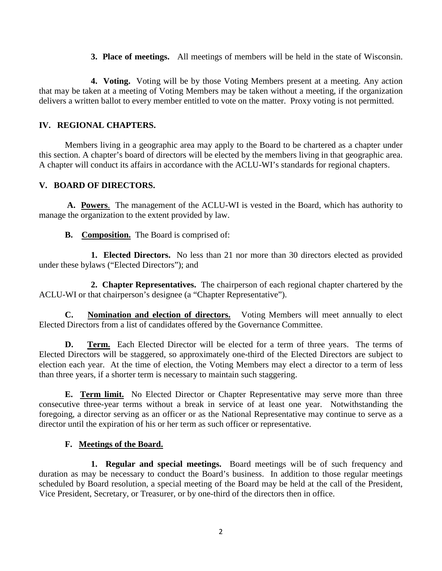**3. Place of meetings.** All meetings of members will be held in the state of Wisconsin.

**4. Voting.** Voting will be by those Voting Members present at a meeting. Any action that may be taken at a meeting of Voting Members may be taken without a meeting, if the organization delivers a written ballot to every member entitled to vote on the matter. Proxy voting is not permitted.

# **IV. REGIONAL CHAPTERS.**

Members living in a geographic area may apply to the Board to be chartered as a chapter under this section. A chapter's board of directors will be elected by the members living in that geographic area. A chapter will conduct its affairs in accordance with the ACLU-WI's standards for regional chapters.

## **V. BOARD OF DIRECTORS.**

**A. Powers**. The management of the ACLU-WI is vested in the Board, which has authority to manage the organization to the extent provided by law.

**B. Composition.** The Board is comprised of:

**1. Elected Directors.** No less than 21 nor more than 30 directors elected as provided under these bylaws ("Elected Directors"); and

**2. Chapter Representatives.** The chairperson of each regional chapter chartered by the ACLU-WI or that chairperson's designee (a "Chapter Representative").

**C. Nomination and election of directors.** Voting Members will meet annually to elect Elected Directors from a list of candidates offered by the Governance Committee.

**D.** Term. Each Elected Director will be elected for a term of three years. The terms of Elected Directors will be staggered, so approximately one-third of the Elected Directors are subject to election each year. At the time of election, the Voting Members may elect a director to a term of less than three years, if a shorter term is necessary to maintain such staggering.

**E. Term limit.** No Elected Director or Chapter Representative may serve more than three consecutive three-year terms without a break in service of at least one year. Notwithstanding the foregoing, a director serving as an officer or as the National Representative may continue to serve as a director until the expiration of his or her term as such officer or representative.

# **F. Meetings of the Board.**

**1. Regular and special meetings.** Board meetings will be of such frequency and duration as may be necessary to conduct the Board's business. In addition to those regular meetings scheduled by Board resolution, a special meeting of the Board may be held at the call of the President, Vice President, Secretary, or Treasurer, or by one-third of the directors then in office.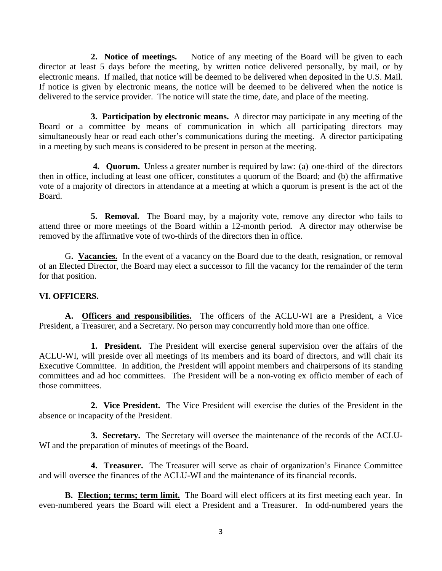**2. Notice of meetings.** Notice of any meeting of the Board will be given to each director at least 5 days before the meeting, by written notice delivered personally, by mail, or by electronic means. If mailed, that notice will be deemed to be delivered when deposited in the U.S. Mail. If notice is given by electronic means, the notice will be deemed to be delivered when the notice is delivered to the service provider. The notice will state the time, date, and place of the meeting.

**3. Participation by electronic means.** A director may participate in any meeting of the Board or a committee by means of communication in which all participating directors may simultaneously hear or read each other's communications during the meeting. A director participating in a meeting by such means is considered to be present in person at the meeting.

**4. Quorum.** Unless a greater number is required by law: (a) one-third of the directors then in office, including at least one officer, constitutes a quorum of the Board; and (b) the affirmative vote of a majority of directors in attendance at a meeting at which a quorum is present is the act of the Board.

**5. Removal.** The Board may, by a majority vote, remove any director who fails to attend three or more meetings of the Board within a 12-month period. A director may otherwise be removed by the affirmative vote of two-thirds of the directors then in office.

G**. Vacancies.**In the event of a vacancy on the Board due to the death, resignation, or removal of an Elected Director, the Board may elect a successor to fill the vacancy for the remainder of the term for that position.

### **VI. OFFICERS.**

**A. Officers and responsibilities.** The officers of the ACLU-WI are a President, a Vice President, a Treasurer, and a Secretary. No person may concurrently hold more than one office.

**1. President.** The President will exercise general supervision over the affairs of the ACLU-WI, will preside over all meetings of its members and its board of directors, and will chair its Executive Committee. In addition, the President will appoint members and chairpersons of its standing committees and ad hoc committees. The President will be a non-voting ex officio member of each of those committees.

**2. Vice President.** The Vice President will exercise the duties of the President in the absence or incapacity of the President.

**3. Secretary.** The Secretary will oversee the maintenance of the records of the ACLU-WI and the preparation of minutes of meetings of the Board.

**4. Treasurer.** The Treasurer will serve as chair of organization's Finance Committee and will oversee the finances of the ACLU-WI and the maintenance of its financial records.

**B.** Election; terms; term limit. The Board will elect officers at its first meeting each year. In even-numbered years the Board will elect a President and a Treasurer. In odd-numbered years the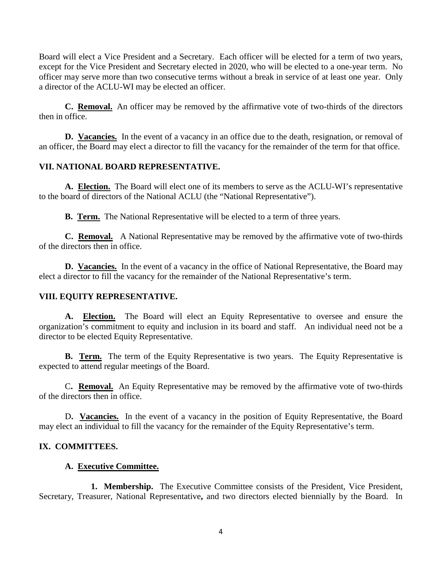Board will elect a Vice President and a Secretary. Each officer will be elected for a term of two years, except for the Vice President and Secretary elected in 2020, who will be elected to a one-year term. No officer may serve more than two consecutive terms without a break in service of at least one year. Only a director of the ACLU-WI may be elected an officer.

**C. Removal.** An officer may be removed by the affirmative vote of two-thirds of the directors then in office.

**D. Vacancies.** In the event of a vacancy in an office due to the death, resignation, or removal of an officer, the Board may elect a director to fill the vacancy for the remainder of the term for that office.

## **VII. NATIONAL BOARD REPRESENTATIVE.**

**A. Election.** The Board will elect one of its members to serve as the ACLU-WI's representative to the board of directors of the National ACLU (the "National Representative").

**B. Term.** The National Representative will be elected to a term of three years.

**C. Removal.** A National Representative may be removed by the affirmative vote of two-thirds of the directors then in office.

**D. Vacancies.** In the event of a vacancy in the office of National Representative, the Board may elect a director to fill the vacancy for the remainder of the National Representative's term.

### **VIII. EQUITY REPRESENTATIVE.**

**A. Election.** The Board will elect an Equity Representative to oversee and ensure the organization's commitment to equity and inclusion in its board and staff. An individual need not be a director to be elected Equity Representative.

**B.** Term. The term of the Equity Representative is two years. The Equity Representative is expected to attend regular meetings of the Board.

C**. Removal.** An Equity Representative may be removed by the affirmative vote of two-thirds of the directors then in office.

D**. Vacancies.** In the event of a vacancy in the position of Equity Representative, the Board may elect an individual to fill the vacancy for the remainder of the Equity Representative's term.

### **IX. COMMITTEES.**

### **A. Executive Committee.**

**1. Membership.** The Executive Committee consists of the President, Vice President, Secretary, Treasurer, National Representative**,** and two directors elected biennially by the Board. In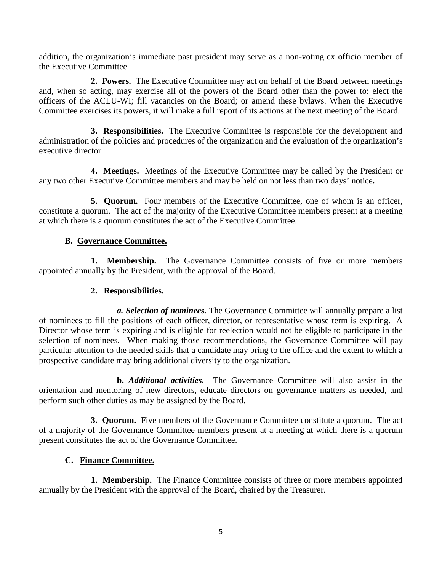addition, the organization's immediate past president may serve as a non-voting ex officio member of the Executive Committee.

**2. Powers.** The Executive Committee may act on behalf of the Board between meetings and, when so acting, may exercise all of the powers of the Board other than the power to: elect the officers of the ACLU-WI; fill vacancies on the Board; or amend these bylaws. When the Executive Committee exercises its powers, it will make a full report of its actions at the next meeting of the Board.

**3. Responsibilities.** The Executive Committee is responsible for the development and administration of the policies and procedures of the organization and the evaluation of the organization's executive director.

**4. Meetings.** Meetings of the Executive Committee may be called by the President or any two other Executive Committee members and may be held on not less than two days' notice**.** 

**5. Quorum.** Four members of the Executive Committee, one of whom is an officer, constitute a quorum. The act of the majority of the Executive Committee members present at a meeting at which there is a quorum constitutes the act of the Executive Committee.

# **B. Governance Committee.**

**1. Membership.** The Governance Committee consists of five or more members appointed annually by the President, with the approval of the Board.

## **2. Responsibilities.**

*a. Selection of nominees.* The Governance Committee will annually prepare a list of nominees to fill the positions of each officer, director, or representative whose term is expiring. A Director whose term is expiring and is eligible for reelection would not be eligible to participate in the selection of nominees. When making those recommendations, the Governance Committee will pay particular attention to the needed skills that a candidate may bring to the office and the extent to which a prospective candidate may bring additional diversity to the organization.

**b.** *Additional activities.* The Governance Committee will also assist in the orientation and mentoring of new directors, educate directors on governance matters as needed, and perform such other duties as may be assigned by the Board.

**3. Quorum.** Five members of the Governance Committee constitute a quorum. The act of a majority of the Governance Committee members present at a meeting at which there is a quorum present constitutes the act of the Governance Committee.

# **C. Finance Committee.**

**1. Membership.** The Finance Committee consists of three or more members appointed annually by the President with the approval of the Board, chaired by the Treasurer.